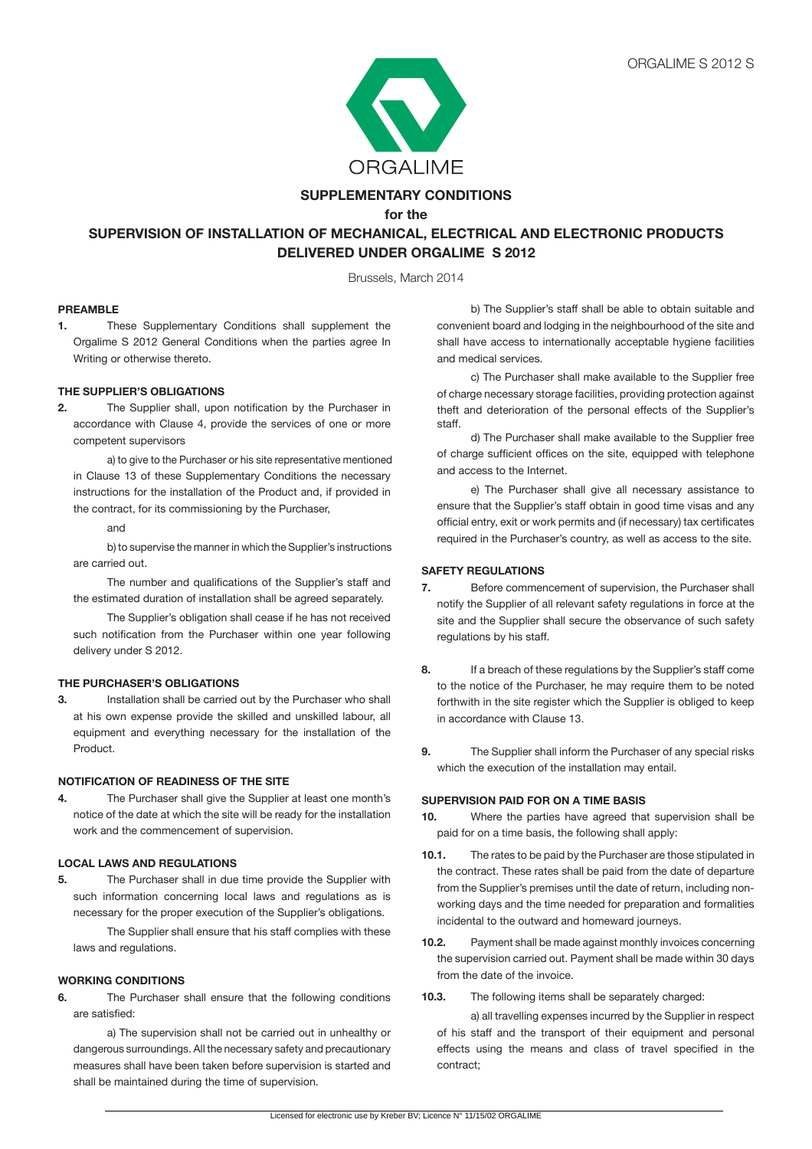

## **SUPPLEMENTARY CONDITIONS**

**for the**

# **SUPERVISION OF INSTALLATION OF MECHANICAL, ELECTRICAL AND ELECTRONIC PRODUCTS DELIVERED UNDER ORGALIME S 2012**

Brussels, March 2014

#### **PREAMBLE**

**1.** These Supplementary Conditions shall supplement the Orgalime S 2012 General Conditions when the parties agree In Writing or otherwise thereto.

### **THE SUPPLIER'S OBLIGATIONS**

**2.** The Supplier shall, upon notification by the Purchaser in accordance with Clause 4, provide the services of one or more competent supervisors

a) to give to the Purchaser or his site representative mentioned in Clause 13 of these Supplementary Conditions the necessary instructions for the installation of the Product and, if provided in the contract, for its commissioning by the Purchaser,

and

b) to supervise the manner in which the Supplier's instructions are carried out.

The number and qualifications of the Supplier's staff and the estimated duration of installation shall be agreed separately.

The Supplier's obligation shall cease if he has not received such notification from the Purchaser within one year following delivery under S 2012.

#### **THE PURCHASER'S OBLIGATIONS**

**3.** Installation shall be carried out by the Purchaser who shall at his own expense provide the skilled and unskilled labour, all equipment and everything necessary for the installation of the Product.

#### **NOTIFICATION OF READINESS OF THE SITE**

**4.** The Purchaser shall give the Supplier at least one month's notice of the date at which the site will be ready for the installation work and the commencement of supervision.

## **LOCAL LAWS AND REGULATIONS**

**5.** The Purchaser shall in due time provide the Supplier with such information concerning local laws and regulations as is necessary for the proper execution of the Supplier's obligations.

 The Supplier shall ensure that his staff complies with these laws and regulations.

#### **WORKING CONDITIONS**

**6.** The Purchaser shall ensure that the following conditions are satisfied:

 a) The supervision shall not be carried out in unhealthy or dangerous surroundings. All the necessary safety and precautionary measures shall have been taken before supervision is started and shall be maintained during the time of supervision.

 b) The Supplier's staff shall be able to obtain suitable and convenient board and lodging in the neighbourhood of the site and shall have access to internationally acceptable hygiene facilities and medical services.

 c) The Purchaser shall make available to the Supplier free of charge necessary storage facilities, providing protection against theft and deterioration of the personal effects of the Supplier's staff.

d) The Purchaser shall make available to the Supplier free of charge sufficient offices on the site, equipped with telephone and access to the Internet.

 e) The Purchaser shall give all necessary assistance to ensure that the Supplier's staff obtain in good time visas and any official entry, exit or work permits and (if necessary) tax certificates required in the Purchaser's country, as well as access to the site.

#### **SAFETY REGULATIONS**

- **7.** Before commencement of supervision, the Purchaser shall notify the Supplier of all relevant safety regulations in force at the site and the Supplier shall secure the observance of such safety regulations by his staff.
- **8.** If a breach of these regulations by the Supplier's staff come to the notice of the Purchaser, he may require them to be noted forthwith in the site register which the Supplier is obliged to keep in accordance with Clause 13.
- **9.** The Supplier shall inform the Purchaser of any special risks which the execution of the installation may entail.

#### **SUPERVISION PAID FOR ON A TIME BASIS**

- **10.** Where the parties have agreed that supervision shall be paid for on a time basis, the following shall apply:
- **10.1.** The rates to be paid by the Purchaser are those stipulated in the contract. These rates shall be paid from the date of departure from the Supplier's premises until the date of return, including nonworking days and the time needed for preparation and formalities incidental to the outward and homeward journeys.
- **10.2.** Payment shall be made against monthly invoices concerning the supervision carried out. Payment shall be made within 30 days from the date of the invoice.
- **10.3.** The following items shall be separately charged:

 a) all travelling expenses incurred by the Supplier in respect of his staff and the transport of their equipment and personal effects using the means and class of travel specified in the contract;